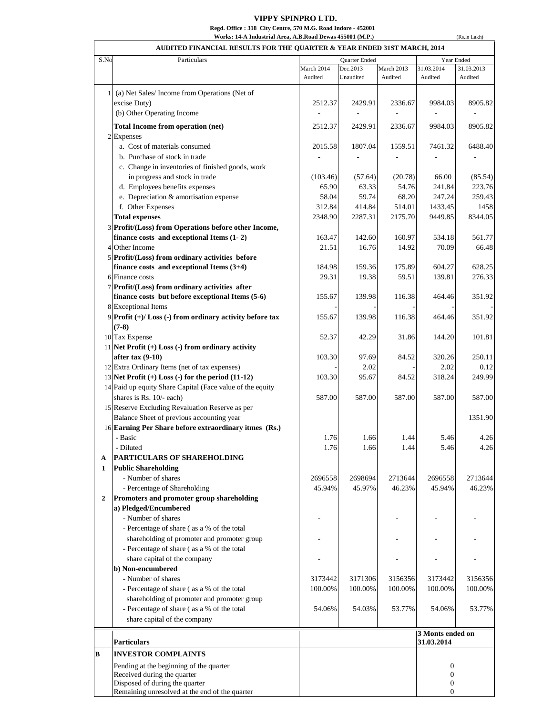## **VIPPY SPINPRO LTD.**

**Regd. Office : 318 City Centre, 570 M.G. Road Indore - 452001**

**Works: 14-A Industrial Area, A.B.Road Dewas 455001 (M.P.)**

|      | AUDITED FINANCIAL RESULTS FOR THE QUARTER & YEAR ENDED 31ST MARCH, 2014 |                             |                       |                       |                                  |                       |
|------|-------------------------------------------------------------------------|-----------------------------|-----------------------|-----------------------|----------------------------------|-----------------------|
| S.No | Particulars                                                             | Quarter Ended<br>Year Ended |                       |                       |                                  |                       |
|      |                                                                         | March 2014<br>Audited       | Dec.2013<br>Unaudited | March 2013<br>Audited | 31.03.2014<br>Audited            | 31.03.2013<br>Audited |
|      | 1 (a) Net Sales/Income from Operations (Net of                          |                             |                       |                       |                                  |                       |
|      | excise Duty)                                                            | 2512.37                     | 2429.91               | 2336.67               | 9984.03                          | 8905.82               |
|      | (b) Other Operating Income                                              |                             |                       |                       |                                  |                       |
|      | Total Income from operation (net)                                       | 2512.37                     | 2429.91               | 2336.67               | 9984.03                          | 8905.82               |
|      | 2 Expenses                                                              |                             |                       |                       |                                  |                       |
|      | a. Cost of materials consumed                                           | 2015.58                     | 1807.04               | 1559.51               | 7461.32                          | 6488.40               |
|      | b. Purchase of stock in trade                                           |                             |                       |                       |                                  |                       |
|      | c. Change in inventories of finished goods, work                        |                             |                       |                       |                                  |                       |
|      | in progress and stock in trade                                          | (103.46)                    | (57.64)               | (20.78)               | 66.00                            | (85.54)               |
|      | d. Employees benefits expenses                                          | 65.90                       | 63.33                 | 54.76                 | 241.84                           | 223.76                |
|      | e. Depreciation & amortisation expense                                  | 58.04                       | 59.74                 | 68.20                 | 247.24                           | 259.43                |
|      | f. Other Expenses                                                       | 312.84                      | 414.84                | 514.01                | 1433.45                          | 1458                  |
|      | <b>Total expenses</b>                                                   | 2348.90                     | 2287.31               | 2175.70               | 9449.85                          | 8344.05               |
|      | 3 Profit/(Loss) from Operations before other Income,                    |                             |                       |                       |                                  |                       |
|      | finance costs and exceptional Items $(1 - 2)$                           | 163.47                      | 142.60                | 160.97                | 534.18                           | 561.77                |
|      | 4 Other Income                                                          | 21.51                       | 16.76                 | 14.92                 | 70.09                            | 66.48                 |
|      | 5 Profit/(Loss) from ordinary activities before                         |                             |                       |                       |                                  |                       |
|      | finance costs and exceptional Items $(3+4)$                             | 184.98                      | 159.36                | 175.89                | 604.27                           | 628.25                |
|      | 6 Finance costs                                                         | 29.31                       | 19.38                 | 59.51                 | 139.81                           | 276.33                |
|      | 7 Profit/(Loss) from ordinary activities after                          |                             |                       |                       |                                  |                       |
|      | finance costs but before exceptional Items (5-6)                        | 155.67                      | 139.98                | 116.38                | 464.46                           | 351.92                |
|      | 8 Exceptional Items                                                     |                             |                       |                       |                                  |                       |
|      | 9 Profit (+)/ Loss (-) from ordinary activity before tax                | 155.67                      | 139.98                | 116.38                | 464.46                           | 351.92                |
|      | $(7-8)$                                                                 |                             |                       |                       |                                  |                       |
|      | 10 Tax Expense                                                          | 52.37                       | 42.29                 | 31.86                 | 144.20                           | 101.81                |
|      | 11 Net Profit $(+)$ Loss $(-)$ from ordinary activity                   |                             |                       |                       |                                  |                       |
|      | after tax $(9-10)$                                                      | 103.30                      | 97.69                 | 84.52                 | 320.26                           | 250.11                |
|      | 12 Extra Ordinary Items (net of tax expenses)                           |                             | 2.02                  |                       | 2.02                             | 0.12                  |
|      | 13 Net Profit $(+)$ Loss $(-)$ for the period $(11-12)$                 | 103.30                      | 95.67                 | 84.52                 | 318.24                           | 249.99                |
|      | 14 Paid up equity Share Capital (Face value of the equity               |                             |                       |                       |                                  |                       |
|      | shares is Rs. 10/- each)                                                | 587.00                      | 587.00                | 587.00                | 587.00                           | 587.00                |
|      | 15 Reserve Excluding Revaluation Reserve as per                         |                             |                       |                       |                                  |                       |
|      | Balance Sheet of previous accounting year                               |                             |                       |                       |                                  | 1351.90               |
|      | 16 Earning Per Share before extraordinary itmes (Rs.)                   |                             |                       |                       |                                  |                       |
|      | Basic                                                                   | 1.76                        | 1.66                  | 1.44                  | 5.46                             | 4.26                  |
|      | - Diluted                                                               | 1.76                        | 1.66                  | 1.44                  | 5.46                             | 4.26                  |
| A    | PARTICULARS OF SHAREHOLDING                                             |                             |                       |                       |                                  |                       |
| 1    | <b>Public Shareholding</b>                                              |                             |                       |                       |                                  |                       |
|      | - Number of shares                                                      | 2696558                     | 2698694               | 2713644               | 2696558                          | 2713644               |
|      | - Percentage of Shareholding                                            | 45.94%                      | 45.97%                | 46.23%                | 45.94%                           | 46.23%                |
| 2    | Promoters and promoter group shareholding                               |                             |                       |                       |                                  |                       |
|      | a) Pledged/Encumbered                                                   |                             |                       |                       |                                  |                       |
|      | - Number of shares                                                      |                             |                       |                       |                                  |                       |
|      | - Percentage of share (as a % of the total                              |                             |                       |                       |                                  |                       |
|      | shareholding of promoter and promoter group                             |                             |                       |                       |                                  |                       |
|      | - Percentage of share (as a % of the total                              |                             |                       |                       |                                  |                       |
|      | share capital of the company                                            |                             |                       |                       |                                  |                       |
|      | b) Non-encumbered                                                       |                             |                       |                       |                                  |                       |
|      | - Number of shares                                                      | 3173442                     | 3171306               | 3156356               | 3173442                          | 3156356               |
|      | - Percentage of share (as a % of the total                              | 100.00%                     | 100.00%               | 100.00%               | 100.00%                          | 100.00%               |
|      | shareholding of promoter and promoter group                             |                             |                       |                       |                                  |                       |
|      | - Percentage of share (as a % of the total                              | 54.06%                      | 54.03%                | 53.77%                | 54.06%                           | 53.77%                |
|      | share capital of the company                                            |                             |                       |                       |                                  |                       |
|      | <b>Particulars</b>                                                      |                             |                       |                       | 3 Monts ended on<br>31.03.2014   |                       |
|      | <b>INVESTOR COMPLAINTS</b>                                              |                             |                       |                       |                                  |                       |
|      |                                                                         |                             |                       |                       |                                  |                       |
|      | Pending at the beginning of the quarter<br>Received during the quarter  |                             |                       |                       | $\boldsymbol{0}$<br>$\mathbf{0}$ |                       |
|      | Disposed of during the quarter                                          |                             |                       |                       | $\boldsymbol{0}$                 |                       |
|      | Remaining unresolved at the end of the quarter                          |                             |                       |                       | $\boldsymbol{0}$                 |                       |